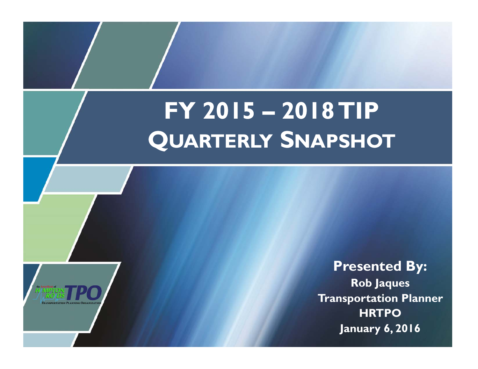# **FY 2015 – 2018 TIP QUARTERLY SNAPSHOT**



**Presented By: Rob Jaques Transportation Planner HRTPO January 6, 2016**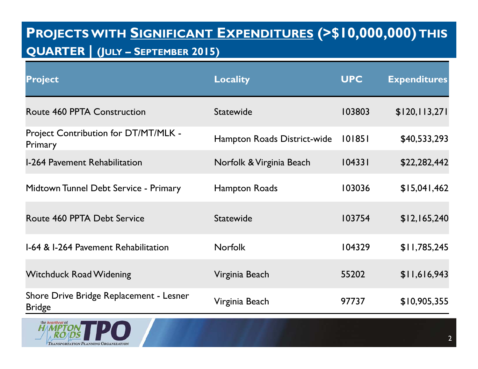## **PROJECTS WITH SIGNIFICANT EXPENDITURES (>\$10,000,000) THIS QUARTER | (JULY – SEPTEMBER 2015)**

# **Project Locality UPC Expenditures** Route 460 PPTA Construction Statewide 103803 \$120,113,271 Project Contribution for DT/MT/MLK - Primary Primary Editor of Denterial Primary Hampton Roads District-wide 101851 \$40,533,293 I-264 Pavement Rehabilitation Morfolk & Virginia Beach 104331 \$22,282,442 Midtown Tunnel Debt Service - Primary Hampton Roads 103036 \$15,041,462 Route 460 PPTA Debt Service Statewide 103754 \$12,165,240 I-64 & I-264 Pavement Rehabilitation Norfolk 104329 \$11,785,245 Witchduck Road Widening The Virginia Beach 55202 \$11,616,943 Shore Drive Bridge Replacement - Lesner Bridge Virginia Beach <sup>97737</sup> \$10,905,355

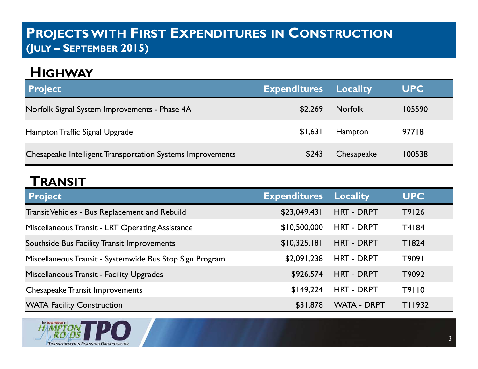## **PROJECTS WITH FIRST EXPENDITURES IN CONSTRUCTION (JULY – SEPTEMBER 2015)**

## **HIGHWAY**

| <b>Project</b>                                             | <b>Expenditures</b> | <b>Locality</b> | <b>UPC</b> |
|------------------------------------------------------------|---------------------|-----------------|------------|
| Norfolk Signal System Improvements - Phase 4A              | \$2,269             | <b>Norfolk</b>  | 105590     |
| Hampton Traffic Signal Upgrade                             | \$1,631             | Hampton         | 97718      |
| Chesapeake Intelligent Transportation Systems Improvements | \$243               | Chesapeake      | 100538     |

### **TRANSIT**

| <b>Project</b>                                           | <b>Expenditures</b> | <b>Locality</b>    | <b>UPC</b> |
|----------------------------------------------------------|---------------------|--------------------|------------|
| Transit Vehicles - Bus Replacement and Rebuild           | \$23,049,431        | HRT - DRPT         | T9126      |
| Miscellaneous Transit - LRT Operating Assistance         | \$10,500,000        | <b>HRT - DRPT</b>  | T4184      |
| Southside Bus Facility Transit Improvements              | \$10,325,181        | <b>HRT - DRPT</b>  | T1824      |
| Miscellaneous Transit - Systemwide Bus Stop Sign Program | \$2,091,238         | <b>HRT - DRPT</b>  | T9091      |
| Miscellaneous Transit - Facility Upgrades                | \$926,574           | <b>HRT - DRPT</b>  | T9092      |
| <b>Chesapeake Transit Improvements</b>                   | \$149,224           | <b>HRT - DRPT</b>  | T9110      |
| <b>WATA Facility Construction</b>                        | \$31,878            | <b>WATA - DRPT</b> | T11932     |

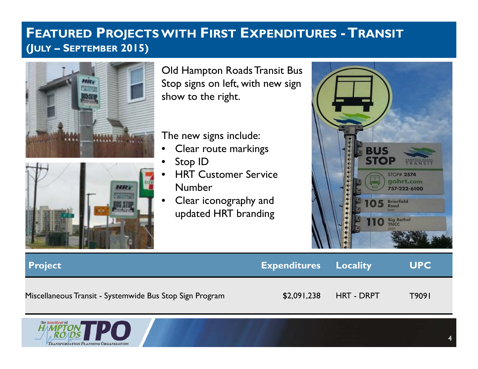## **FEATURED PROJECTS WITH FIRST EXPENDITURES -TRANSIT (JULY – SEPTEMBER 2015)**





Old Hampton Roads Transit Bus Stop signs on left, with new sign show to the right.

The new signs include:

- •Clear route markings
- •Stop ID
- • HRT Customer Service Number
- • Clear iconography and updated HRT branding



| <b>Project</b>                                           | <b>Expenditures</b> Locality |                   | <b>UPC</b> |
|----------------------------------------------------------|------------------------------|-------------------|------------|
| Miscellaneous Transit - Systemwide Bus Stop Sign Program | \$2,091,238                  | <b>HRT - DRPT</b> | T9091      |

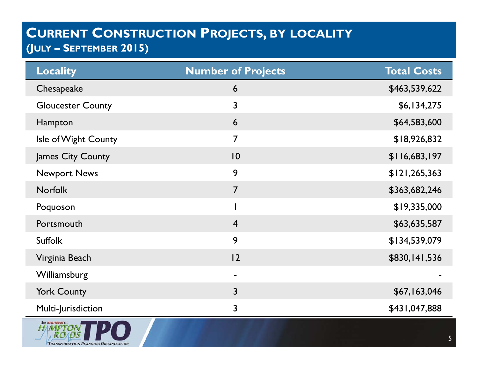| <b>Locality</b>               | <b>Number of Projects</b> | <b>Total Costs</b> |
|-------------------------------|---------------------------|--------------------|
| Chesapeake                    | 6                         | \$463,539,622      |
| <b>Gloucester County</b>      | 3                         | \$6,134,275        |
| Hampton                       | 6                         | \$64,583,600       |
| Isle of Wight County          | $\overline{7}$            | \$18,926,832       |
| James City County             | 10                        | \$116,683,197      |
| <b>Newport News</b>           | 9                         | \$121, 265, 363    |
| <b>Norfolk</b>                | $\overline{7}$            | \$363,682,246      |
| Poquoson                      |                           | \$19,335,000       |
| Portsmouth                    | $\overline{4}$            | \$63,635,587       |
| <b>Suffolk</b>                | 9                         | \$134,539,079      |
| Virginia Beach                | 12                        | \$830,141,536      |
| Williamsburg                  | $\blacksquare$            |                    |
| <b>York County</b>            | $\overline{3}$            | \$67,163,046       |
| Multi-Jurisdiction            | $\overline{3}$            | \$431,047,888      |
| the heartbeat of<br>H MPTON D |                           |                    |

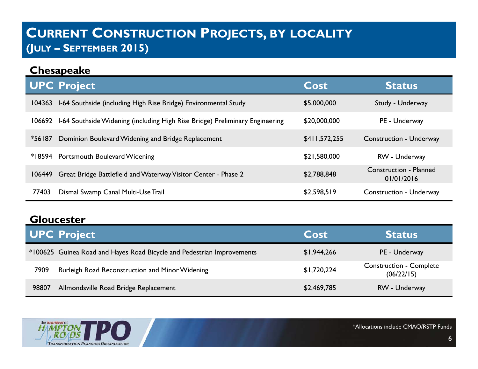|          | <b>Chesapeake</b>                                                            |               |                                             |
|----------|------------------------------------------------------------------------------|---------------|---------------------------------------------|
|          | <b>UPC Project</b>                                                           | Cost          | <b>Status</b>                               |
| 104363   | 1-64 Southside (including High Rise Bridge) Environmental Study              | \$5,000,000   | Study - Underway                            |
| 106692   | 1-64 Southside Widening (including High Rise Bridge) Preliminary Engineering | \$20,000,000  | PE - Underway                               |
| $*56187$ | Dominion Boulevard Widening and Bridge Replacement                           | \$411,572,255 | <b>Construction - Underway</b>              |
|          | *18594 Portsmouth Boulevard Widening                                         | \$21,580,000  | RW - Underway                               |
| 106449   | Great Bridge Battlefield and Waterway Visitor Center - Phase 2               | \$2,788,848   | <b>Construction - Planned</b><br>01/01/2016 |
| 77403    | Dismal Swamp Canal Multi-Use Trail                                           | \$2,598,519   | <b>Construction - Underway</b>              |

#### **Gloucester**

|       | <b>UPC Project</b>                                                     | Cost        | <b>Status</b>                                |
|-------|------------------------------------------------------------------------|-------------|----------------------------------------------|
|       | *100625 Guinea Road and Hayes Road Bicycle and Pedestrian Improvements | \$1,944,266 | PE - Underway                                |
| 7909  | Burleigh Road Reconstruction and Minor Widening                        | \$1,720,224 | <b>Construction - Complete</b><br>(06/22/15) |
| 98807 | Allmondsville Road Bridge Replacement                                  | \$2,469,785 | RW - Underway                                |

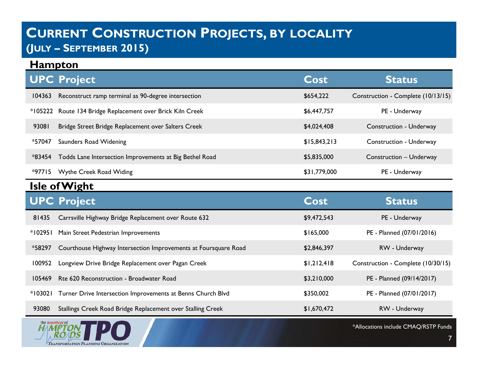#### **Hampton**

|          | <b>UPC Project</b>                                         | Cost         | <b>Status</b>                      |
|----------|------------------------------------------------------------|--------------|------------------------------------|
| 104363   | Reconstruct ramp terminal as 90-degree intersection        | \$654,222    | Construction - Complete (10/13/15) |
|          | *105222 Route 134 Bridge Replacement over Brick Kiln Creek | \$6,447,757  | PE - Underway                      |
| 93081    | Bridge Street Bridge Replacement over Salters Creek        | \$4,024,408  | Construction - Underway            |
| *57047   | Saunders Road Widening                                     | \$15,843,213 | Construction - Underway            |
| *83454   | Todds Lane Intersection Improvements at Big Bethel Road    | \$5,835,000  | Construction - Underway            |
| $*97715$ | Wythe Creek Road Widing                                    | \$31,779,000 | PE - Underway                      |

#### **Isle of Wight**

|         | <b>UPC Project</b>                                                  | Cost        | <b>Status</b>                      |
|---------|---------------------------------------------------------------------|-------------|------------------------------------|
| 81435   | Carrsville Highway Bridge Replacement over Route 632                | \$9,472,543 | PE - Underway                      |
| *102951 | Main Street Pedestrian Improvements                                 | \$165,000   | PE - Planned (07/01/2016)          |
| *58297  | Courthouse Highway Intersection Improvements at Foursquare Road     | \$2,846,397 | RW - Underway                      |
| 100952  | Longview Drive Bridge Replacement over Pagan Creek                  | \$1,212,418 | Construction - Complete (10/30/15) |
| 105469  | Rte 620 Reconstruction - Broadwater Road                            | \$3,210,000 | PE - Planned (09/14/2017)          |
|         | *103021 Turner Drive Intersection Improvements at Benns Church Blvd | \$350,002   | PE - Planned (07/01/2017)          |
| 93080   | Stallings Creek Road Bridge Replacement over Stalling Creek         | \$1,670,472 | RW - Underway                      |

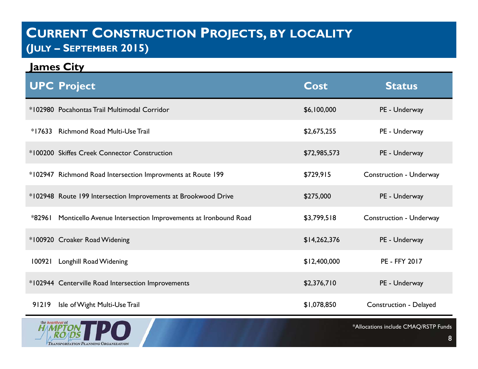**James City**

|        | <b>UPC Project</b>                                             | Cost         | <b>Status</b>           |
|--------|----------------------------------------------------------------|--------------|-------------------------|
|        | *102980 Pocahontas Trail Multimodal Corridor                   | \$6,100,000  | PE - Underway           |
|        | *17633 Richmond Road Multi-Use Trail                           | \$2,675,255  | PE - Underway           |
|        | *100200 Skiffes Creek Connector Construction                   | \$72,985,573 | PE - Underway           |
|        | *102947 Richmond Road Intersection Improvments at Route 199    | \$729,915    | Construction - Underway |
|        | *102948 Route 199 Intersection Improvements at Brookwood Drive | \$275,000    | PE - Underway           |
| *82961 | Monticello Avenue Intersection Improvements at Ironbound Road  | \$3,799,518  | Construction - Underway |
|        | *100920 Croaker Road Widening                                  | \$14,262,376 | PE - Underway           |
| 100921 | <b>Longhill Road Widening</b>                                  | \$12,400,000 | PE - FFY 2017           |
|        | *102944 Centerville Road Intersection Improvements             | \$2,376,710  | PE - Underway           |
| 91219  | Isle of Wight Multi-Use Trail                                  | \$1,078,850  | Construction - Delayed  |

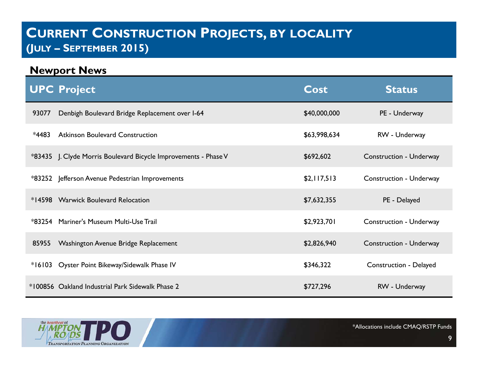#### **Newport News**

|          | <b>UPC Project</b>                                              | <b>Cost</b>  | <b>Status</b>                  |
|----------|-----------------------------------------------------------------|--------------|--------------------------------|
| 93077    | Denbigh Boulevard Bridge Replacement over I-64                  | \$40,000,000 | PE - Underway                  |
| *4483    | <b>Atkinson Boulevard Construction</b>                          | \$63,998,634 | RW - Underway                  |
|          | *83435 J. Clyde Morris Boulevard Bicycle Improvements - Phase V | \$692,602    | <b>Construction - Underway</b> |
|          | *83252 Jefferson Avenue Pedestrian Improvements                 | \$2,117,513  | Construction - Underway        |
|          | *14598 Warwick Boulevard Relocation                             | \$7,632,355  | PE - Delayed                   |
|          | *83254 Mariner's Museum Multi-Use Trail                         | \$2,923,701  | Construction - Underway        |
| 85955    | Washington Avenue Bridge Replacement                            | \$2,826,940  | <b>Construction - Underway</b> |
| $*16103$ | Oyster Point Bikeway/Sidewalk Phase IV                          | \$346,322    | Construction - Delayed         |
|          | *100856 Oakland Industrial Park Sidewalk Phase 2                | \$727,296    | RW - Underway                  |

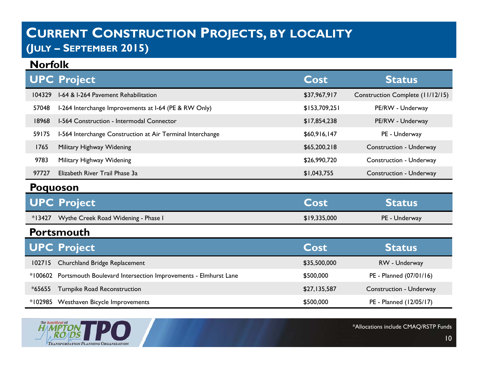#### **Norfolk**

|        | <b>UPC Project</b>                                         | Cost          | <b>Status</b>                    |
|--------|------------------------------------------------------------|---------------|----------------------------------|
| 104329 | 1-64 & 1-264 Pavement Rehabilitation                       | \$37,967,917  | Construction Complete (11/12/15) |
| 57048  | I-264 Interchange Improvements at I-64 (PE & RW Only)      | \$153,709,251 | PE/RW - Underway                 |
| 18968  | 1-564 Construction - Intermodal Connector                  | \$17,854,238  | PE/RW - Underway                 |
| 59175  | I-564 Interchange Construction at Air Terminal Interchange | \$60,916,147  | PE - Underway                    |
| 1765   | Military Highway Widening                                  | \$65,200,218  | Construction - Underway          |
| 9783   | Military Highway Widening                                  | \$26,990,720  | Construction - Underway          |
| 97727  | Elizabeth River Trail Phase 3a                             | \$1,043,755   | Construction - Underway          |

#### **Poquoson**

| <b>UPC Project</b>                         | <b>Cost</b>  | <b>Status</b> |
|--------------------------------------------|--------------|---------------|
| *13427 Wythe Creek Road Widening - Phase I | \$19,335,000 | PE - Underway |

#### **Portsmouth**

|          | UPC Project                                                            | Cost         | <b>Status</b>           |
|----------|------------------------------------------------------------------------|--------------|-------------------------|
|          | 102715 Churchland Bridge Replacement                                   | \$35,500,000 | RW - Underway           |
|          | *100602 Portsmouth Boulevard Intersection Improvements - Elmhurst Lane | \$500,000    | PE - Planned (07/01/16) |
| $*65655$ | Turnpike Road Reconstruction                                           | \$27,135,587 | Construction - Underway |
|          | *102985 Westhaven Bicycle Improvements                                 | \$500,000    | PE - Planned (12/05/17) |

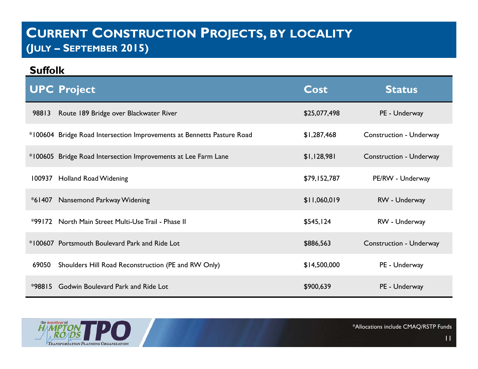#### **Suffolk**

| <b>UPC Project</b>                                             |                                                                        | <b>Cost</b>  | <b>Status</b>                  |
|----------------------------------------------------------------|------------------------------------------------------------------------|--------------|--------------------------------|
| Route 189 Bridge over Blackwater River<br>98813                |                                                                        | \$25,077,498 | PE - Underway                  |
|                                                                | *100604 Bridge Road Intersection Improvements at Bennetts Pasture Road | \$1,287,468  | <b>Construction - Underway</b> |
| *100605 Bridge Road Intersection Improvements at Lee Farm Lane |                                                                        | \$1,128,981  | Construction - Underway        |
| 100937 Holland Road Widening                                   |                                                                        | \$79,152,787 | PE/RW - Underway               |
| *61407 Nansemond Parkway Widening                              |                                                                        | \$11,060,019 | RW - Underway                  |
| *99172 North Main Street Multi-Use Trail - Phase II            |                                                                        | \$545,124    | RW - Underway                  |
| *100607 Portsmouth Boulevard Park and Ride Lot                 |                                                                        | \$886,563    | Construction - Underway        |
| 69050                                                          | Shoulders Hill Road Reconstruction (PE and RW Only)                    | \$14,500,000 | PE - Underway                  |
| Godwin Boulevard Park and Ride Lot<br>$*98815$                 |                                                                        | \$900,639    | PE - Underway                  |

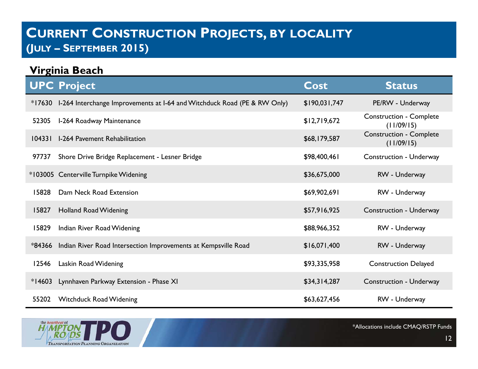| Virginia Beach |                                                                          |                          |                                              |
|----------------|--------------------------------------------------------------------------|--------------------------|----------------------------------------------|
|                | <b>UPC Project</b>                                                       | $\overline{\text{Cost}}$ | <b>Status</b>                                |
| *17630         | I-264 Interchange Improvements at I-64 and Witchduck Road (PE & RW Only) | \$190,031,747            | PE/RW - Underway                             |
| 52305          | I-264 Roadway Maintenance                                                | \$12,719,672             | <b>Construction - Complete</b><br>(11/09/15) |
| 104331         | <b>I-264 Pavement Rehabilitation</b>                                     | \$68,179,587             | <b>Construction - Complete</b><br>(11/09/15) |
| 97737          | Shore Drive Bridge Replacement - Lesner Bridge                           | \$98,400,461             | Construction - Underway                      |
|                | *103005 Centerville Turnpike Widening                                    | \$36,675,000             | RW - Underway                                |
| 15828          | Dam Neck Road Extension                                                  | \$69,902,691             | RW - Underway                                |
| 15827          | <b>Holland Road Widening</b>                                             | \$57,916,925             | Construction - Underway                      |
| 15829          | Indian River Road Widening                                               | \$88,966,352             | RW - Underway                                |
| *84366         | Indian River Road Intersection Improvements at Kempsville Road           | \$16,071,400             | RW - Underway                                |
| 12546          | Laskin Road Widening                                                     | \$93,335,958             | <b>Construction Delayed</b>                  |
| $*14603$       | Lynnhaven Parkway Extension - Phase XI                                   | \$34,314,287             | Construction - Underway                      |
| 55202          | Witchduck Road Widening                                                  | \$63,627,456             | RW - Underway                                |

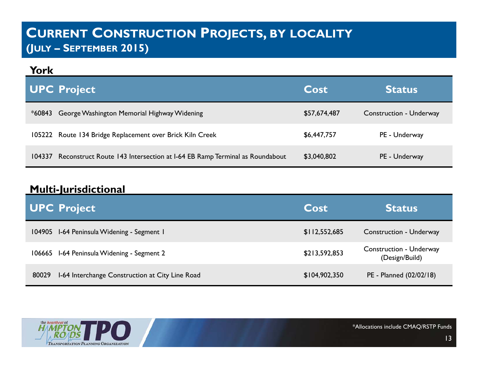#### **York**

|        | <b>UPC Project</b>                                                        | Cost         | <b>Status</b>                  |
|--------|---------------------------------------------------------------------------|--------------|--------------------------------|
| *60843 | George Washington Memorial Highway Widening                               | \$57,674,487 | <b>Construction - Underway</b> |
|        | 105222 Route 134 Bridge Replacement over Brick Kiln Creek                 | \$6,447,757  | PE - Underway                  |
| 104337 | Reconstruct Route 143 Intersection at 1-64 EB Ramp Terminal as Roundabout | \$3,040,802  | PE - Underway                  |

#### **Multi-Jurisdictional**

|       | <b>UPC Project</b>                              | Cost          | <b>Status</b>                                    |
|-------|-------------------------------------------------|---------------|--------------------------------------------------|
|       | 104905 I-64 Peninsula Widening - Segment I      | \$112,552,685 | Construction - Underway                          |
|       | 106665 I-64 Peninsula Widening - Segment 2      | \$213,592,853 | <b>Construction - Underway</b><br>(Design/Build) |
| 80029 | 1-64 Interchange Construction at City Line Road | \$104,902,350 | PE - Planned (02/02/18)                          |

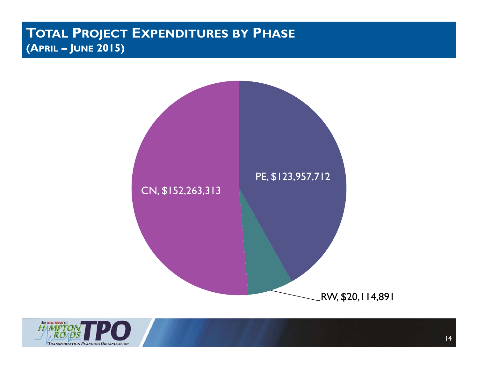#### **TOTAL PROJECT EXPENDITURES BY PHASE (APRIL – JUNE 2015)**



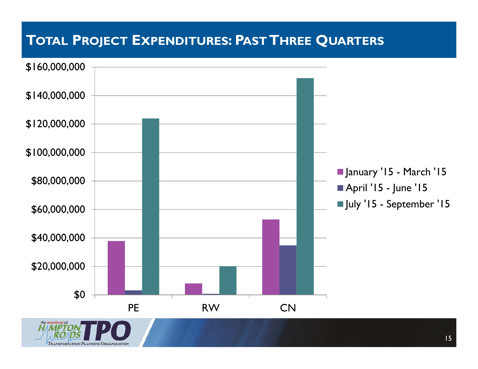## **TOTAL PROJECT EXPENDITURES: PAST THREE QUARTERS**



15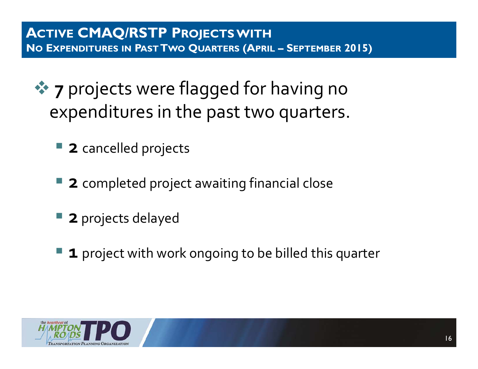- **\*** 7 projects were flagged for having no expenditures in the past two quarters.
	- **<sup>2</sup>**cancelled projects
	- **2** completed project awaiting financial close
	- **2** projects delayed
	- **1** project with work ongoing to be billed this quarter